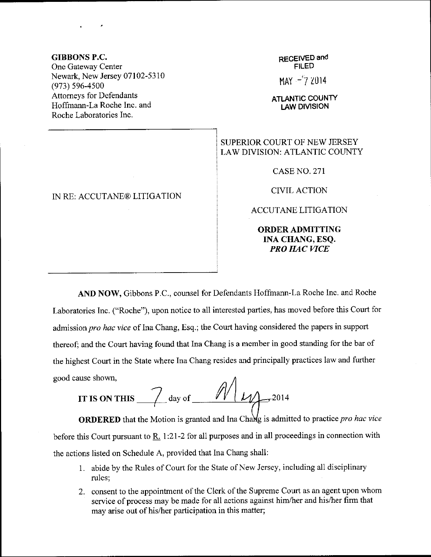## GIBBONS P.C.

One Gateway Center Newark, New Jersey 07102-5310 (973) 596-4s00 Attomeys for Defendants Hoffmann-La Roche Inc. and Roche Laboratories Inc.

## IN RE: ACCUTANE@ LITIGATION

## REGEIVED and FILED

 $MAY -7 2014$ 

ATLANTIC COUNTY LAW DIVISION

## SUPERIOR COURT OF NEW JERSEY LAW DIVISION: ATLANTIC COUNTY

CASE NO. 271

CIVIL ACTION

ACCUTANE LITIGATION

ORDERADMITTING INA CHANG, ESQ. PRO HAC VICE

AND NOW, Gibbons P.C., counsel for Defendants Hoffmann-La Roche Inc. and Roche Laboratories Inc. ("Roche"), upon notice to all interested parties, has moved before this Court for admission pro hac vice of Ina Chang, Esq.; the Court having considered the papers in support thereof; and the Court having found that Ina Chang is a member in good standing for the bar of the highest Court in the State where Ina Chang resides and principally practices law and further good cause shown,

ause shown,<br>IT IS ON THIS  $\frac{1}{\ell}$  day of  $\frac{1}{\ell}$   $\frac{1}{\ell}$ , 2014

**ORDERED** that the Motion is granted and Ina Change is admitted to practice pro hac vice before this Court pursuant to  $R_1$ . 1:21-2 for all purposes and in all proceedings in connection with the actions listed on Schedule A, provided that Ina Chang shall:

- <sup>1</sup>. abide by the Rules of Court for the State of New Jersey, including all disciplinary rules;
- 2. consent to the appointment of the Clerk of the Supreme Court as an agent upon whom service of process may be made for all actions against him/her and his/her firm that may arise out of his/her participation in this matter;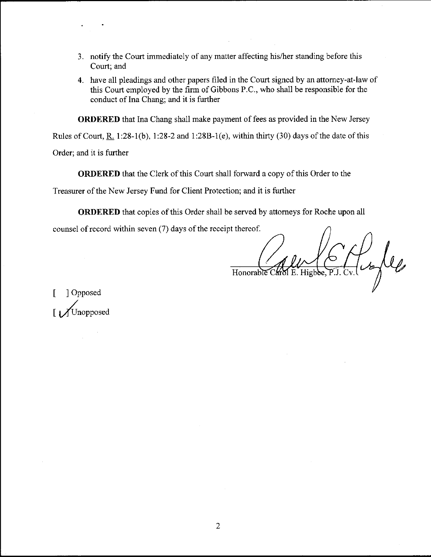- 3. notify the Court immediately of any matter affecting his/her standing before this Court; and
- 4. have all pleadings and other papers filed in the Court signed by an attomey-at-law of this Court employed by the firm of Gibbons P.C., who shall be responsible for the conduct of Ina Chang; and it is further

ORDERED that Ina Chang shall make payment of fees as provided in the New Jersey

Rules of Court, R. 1:28-1(b), 1:28-2 and 1:288-1(e), within thirty (30) days of the date of this

Order; and it is further

ORDERED that the Clerk of this Court shall forward a copy of this Order to the

Treasurer of the New Jersey Fund for Client Protection; and it is further

ORDERED that copies of this Order shall be served by attomeys for Roche upon all

counsel of record within seven (7) days of the receipt thereof.

 $\frac{1}{\pi}\int_{\mathbb{R}^{3}}\int_{\mathbb{R}}\int_{\mathbb{R}}\int_{\mathbb{R}}\left\vert \mathcal{L}_{\mathbf{z}}\right\vert d\mathbf{z}$ Honorable Carol

[ ]Opposed Unopposed